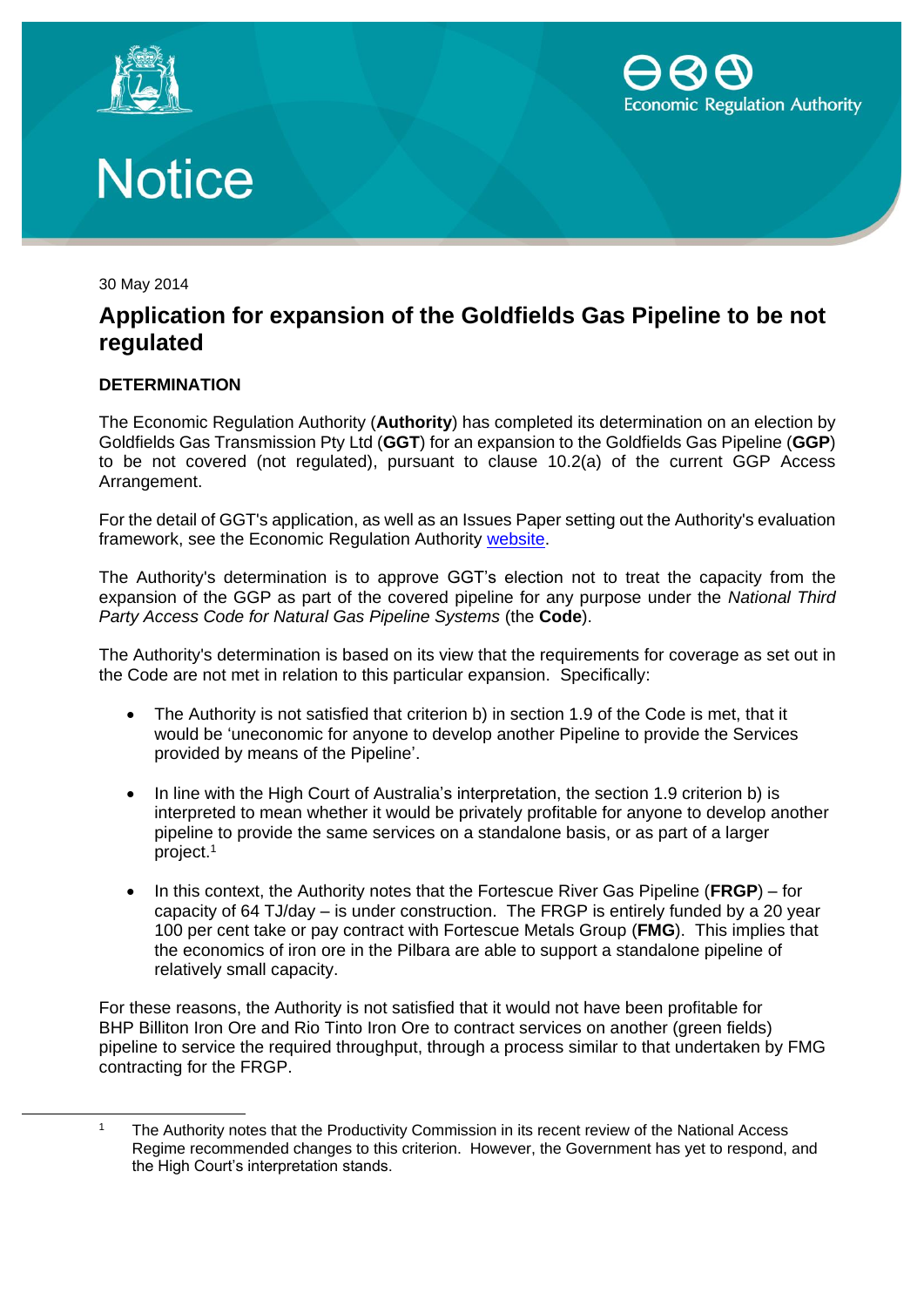



## **Notice**

30 May 2014

-

## **Application for expansion of the Goldfields Gas Pipeline to be not regulated**

## **DETERMINATION**

The Economic Regulation Authority (**Authority**) has completed its determination on an election by Goldfields Gas Transmission Pty Ltd (**GGT**) for an expansion to the Goldfields Gas Pipeline (**GGP**) to be not covered (not regulated), pursuant to clause 10.2(a) of the current GGP Access Arrangement.

For the detail of GGT's application, as well as an Issues Paper setting out the Authority's evaluation framework, see the Economic Regulation Authority [website.](http://www.erawa.com.au/infrastructure-access/gas-access/goldfields-gas-pipeline/expansion-of-pipeline-in-the-pilbara-region)

The Authority's determination is to approve GGT's election not to treat the capacity from the expansion of the GGP as part of the covered pipeline for any purpose under the *National Third Party Access Code for Natural Gas Pipeline Systems* (the **Code**).

The Authority's determination is based on its view that the requirements for coverage as set out in the Code are not met in relation to this particular expansion. Specifically:

- The Authority is not satisfied that criterion b) in section 1.9 of the Code is met, that it would be 'uneconomic for anyone to develop another Pipeline to provide the Services provided by means of the Pipeline'.
- In line with the High Court of Australia's interpretation, the section 1.9 criterion b) is interpreted to mean whether it would be privately profitable for anyone to develop another pipeline to provide the same services on a standalone basis, or as part of a larger project.<sup>1</sup>
- In this context, the Authority notes that the Fortescue River Gas Pipeline (**FRGP**) for capacity of 64 TJ/day – is under construction. The FRGP is entirely funded by a 20 year 100 per cent take or pay contract with Fortescue Metals Group (**FMG**). This implies that the economics of iron ore in the Pilbara are able to support a standalone pipeline of relatively small capacity.

For these reasons, the Authority is not satisfied that it would not have been profitable for BHP Billiton Iron Ore and Rio Tinto Iron Ore to contract services on another (green fields) pipeline to service the required throughput, through a process similar to that undertaken by FMG contracting for the FRGP.

<sup>&</sup>lt;sup>1</sup> The Authority notes that the Productivity Commission in its recent review of the National Access Regime recommended changes to this criterion. However, the Government has yet to respond, and the High Court's interpretation stands.